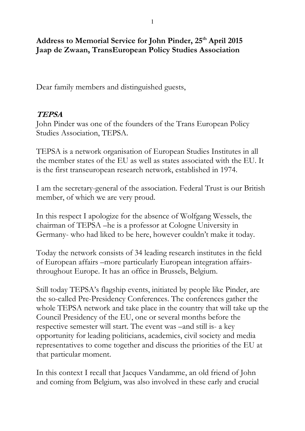#### **Address to Memorial Service for John Pinder, 25th April 2015 Jaap de Zwaan, TransEuropean Policy Studies Association**

Dear family members and distinguished guests,

# **TEPSA**

John Pinder was one of the founders of the Trans European Policy Studies Association, TEPSA.

TEPSA is a network organisation of European Studies Institutes in all the member states of the EU as well as states associated with the EU. It is the first transeuropean research network, established in 1974.

I am the secretary-general of the association. Federal Trust is our British member, of which we are very proud.

In this respect I apologize for the absence of Wolfgang Wessels, the chairman of TEPSA –he is a professor at Cologne University in Germany- who had liked to be here, however couldn't make it today.

Today the network consists of 34 leading research institutes in the field of European affairs –more particularly European integration affairsthroughout Europe. It has an office in Brussels, Belgium.

Still today TEPSA's flagship events, initiated by people like Pinder, are the so-called Pre-Presidency Conferences. The conferences gather the whole TEPSA network and take place in the country that will take up the Council Presidency of the EU, one or several months before the respective semester will start. The event was –and still is- a key opportunity for leading politicians, academics, civil society and media representatives to come together and discuss the priorities of the EU at that particular moment.

In this context I recall that Jacques Vandamme, an old friend of John and coming from Belgium, was also involved in these early and crucial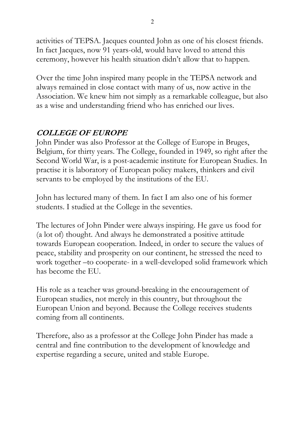activities of TEPSA. Jacques counted John as one of his closest friends. In fact Jacques, now 91 years-old, would have loved to attend this ceremony, however his health situation didn't allow that to happen.

Over the time John inspired many people in the TEPSA network and always remained in close contact with many of us, now active in the Association. We knew him not simply as a remarkable colleague, but also as a wise and understanding friend who has enriched our lives.

# **COLLEGE OF EUROPE**

John Pinder was also Professor at the College of Europe in Bruges, Belgium, for thirty years. The College, founded in 1949, so right after the Second World War, is a post-academic institute for European Studies. In practise it is laboratory of European policy makers, thinkers and civil servants to be employed by the institutions of the EU.

John has lectured many of them. In fact I am also one of his former students. I studied at the College in the seventies.

The lectures of John Pinder were always inspiring. He gave us food for (a lot of) thought. And always he demonstrated a positive attitude towards European cooperation. Indeed, in order to secure the values of peace, stability and prosperity on our continent, he stressed the need to work together –to cooperate- in a well-developed solid framework which has become the EU.

His role as a teacher was ground-breaking in the encouragement of European studies, not merely in this country, but throughout the European Union and beyond. Because the College receives students coming from all continents.

Therefore, also as a professor at the College John Pinder has made a central and fine contribution to the development of knowledge and expertise regarding a secure, united and stable Europe.